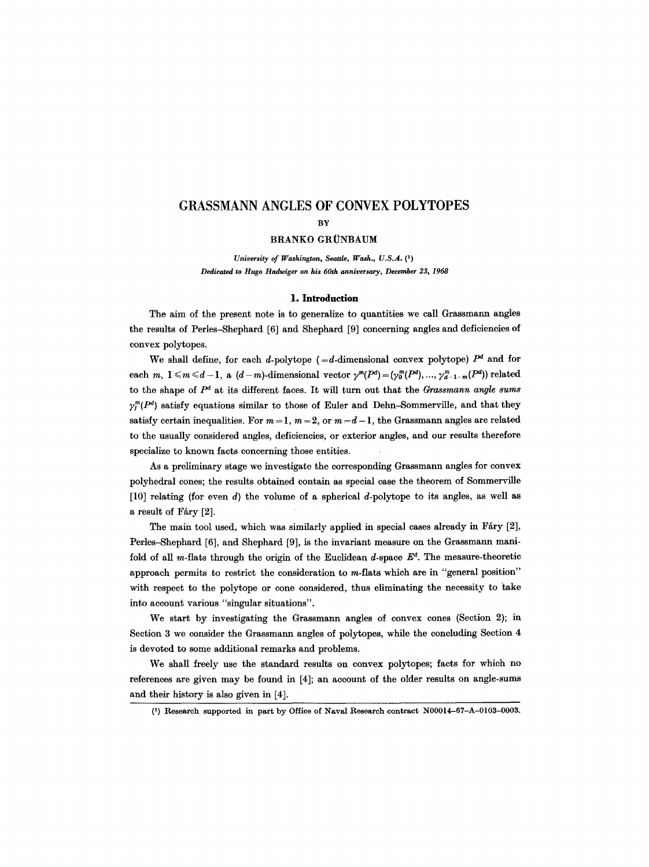# **GRASSMANN ANGLES OF CONVEX POLYTOPES**

### BRANKO GRÜNBAUM

*University of Washington, Seattle, Wash., U.S.A. (1) Dedicated to Hugo Hadwiger on his 60th anniversary, December 23, 1968* 

#### **1. Introduction**

The aim of the present note is to generalize to quantities we call Grassmann angles the results of Perles-Shephard [6] and Shephard [9] concerning angles and deficiencies of convex polytopes.

We shall define, for each d-polytope (=d-dimensional convex polytope)  $P<sup>d</sup>$  and for each m,  $1 \leq m \leq d-1$ , a  $(d-m)$ -dimensional vector  $\gamma^{m}(P^{d}) = (\gamma_{0}^{m}(P^{d}), \ldots, \gamma_{d-1-m}^{m}(P^{d}))$  related to the shape of *pd* at its different faces. It will turn out that the *Grassmann angle sums*   $\gamma_l^m(P^d)$  satisfy equations similar to those of Euler and Dehn-Sommerville, and that they satisfy certain inequalities. For  $m=1$ ,  $m=2$ , or  $m=d-1$ , the Grassmann angles are related to the usually considered angles, deficiencies, or exterior angles, and our results therefore specialize to known facts concerning those entities.

As a preliminary stage we investigate the corresponding Grassmann angles for convex polyhedral cones; the results obtained contain as special case the theorem of Sommerville [10] relating (for even  $d$ ) the volume of a spherical d-polytope to its angles, as well as a result of Fáry [2].

The main tool used, which was similarly applied in special cases already in Fáry [2], Perles-Shephard [6], and Shephard [9], is the invariant measure on the Grassmann manifold of all m-flats through the origin of the Euclidean  $d$ -space  $E^d$ . The measure-theoretic approach permits to restrict the consideration to m-fiats which are in "general position" with respect to the polytope or cone considered, thus eliminating the necessity to take into account various "singular situations".

We start by investigating the Grassmann angles of convex cones (Section 2); in Section 3 we consider the Grassmann angles of polytopes, while the concluding Section 4 is devoted to some additional remarks and problems.

We shall freely use the standard results on convex polytopes; facts for which no references are given may be found in [4]; an account of the older results on angle-sums and their history is also given in [4].

BY

<sup>(1)</sup> Research supported in part by Office of Naval Research contract N00014-67-A-0103-0003.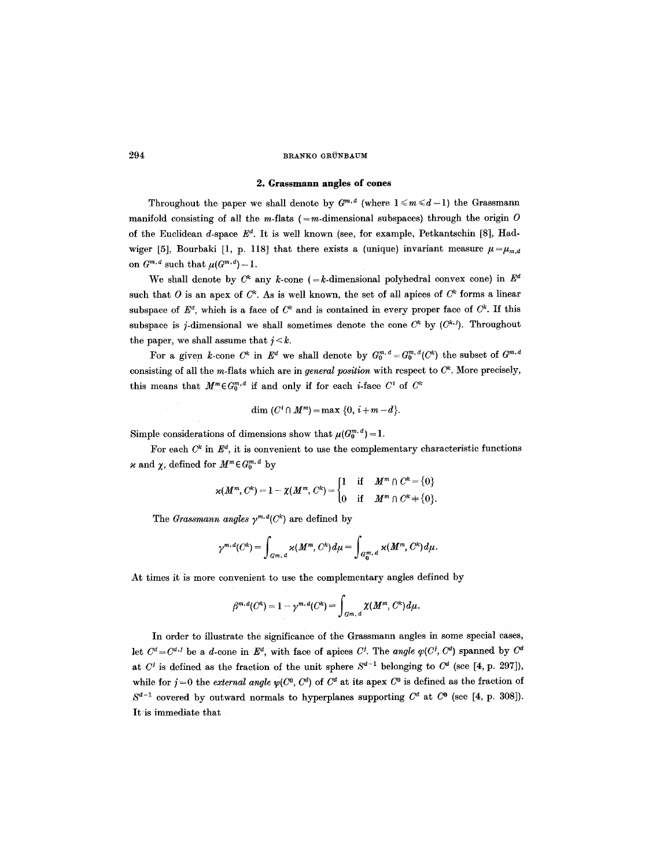#### **2. Grassmann angles of cones**

Throughout the paper we shall denote by  $G^{m,d}$  (where  $1 \leq m \leq d-1$ ) the Grassmann manifold consisting of all the m-flats (=m-dimensional subspaces) through the origin  $O$ of the Euclidean d-space  $E^d$ . It is well known (see, for example, Petkantschin [8], Hadwiger [5], Bourbaki [1, p. 118] that there exists a (unique) invariant measure  $\mu = \mu_{m,d}$ on  $G^{m,d}$  such that  $\mu(G^{m,d}) = 1$ .

We shall denote by  $C^k$  any k-cone (=k-dimensional polyhedral convex cone) in  $E^d$ such that O is an apex of  $C^k$ . As is well known, the set of all apices of  $C^k$  forms a linear subspace of  $E^d$ , which is a face of  $C^k$  and is contained in every proper face of  $C^k$ . If this subspace is j-dimensional we shall sometimes denote the cone  $C^k$  by  $(C^{k,j})$ . Throughout the paper, we shall assume that  $j < k$ .

For a given k-cone  $C^k$  in  $E^d$  we shall denote by  $G_0^{m,d} = G_0^{m,d}(C^k)$  the subset of  $G^{m,d}$ consisting of all the m-flats which are in *general position* with respect to  $C<sup>k</sup>$ . More precisely, this means that  $M^m \in G_0^{m,d}$  if and only if for each *i*-face  $C^i$  of  $C^k$ 

$$
\dim\,(C^i\cap M^m)=\max\,\{0,\,i+m-d\}.
$$

Simple considerations of dimensions show that  $\mu(G_0^{m,d})=1$ .

For each  $C^k$  in  $E^d$ , it is convenient to use the complementary characteristic functions x and  $\chi$ , defined for  $M^m \in G_0^{m,d}$  by

$$
\varkappa(M^m, C^k) = 1 - \chi(M^m, C^k) = \begin{cases} 1 & \text{if } M^m \cap C^k = \{0\} \\ 0 & \text{if } M^m \cap C^k + \{0\}. \end{cases}
$$

The *Grassmann angles*  $\gamma^{m,d}(C^k)$  are defined by

$$
\gamma^{m,\,d}(C^k)=\int_{G^m,\,d}\varkappa(M^m,\,C^k)\,d\mu=\int_{G^m_0,\,d}\varkappa(M^m,\,C^k)\,d\mu.
$$

At times it is more convenient to use the complementary angles defined by

$$
\beta^{m,d}(C^k)=1-\gamma^{m,d}(C^k)=\int_{G^m,d}\chi(M^m,C^k)d\mu.
$$

In order to illustrate the significance of the Grassmann angles in some special cases, let  $C^d = C^{d,j}$  be a d-cone in  $E^d$ , with face of apices C<sup>j</sup>. The *angle*  $\varphi(C^j, C^d)$  spanned by  $C^d$ at  $C^j$  is defined as the fraction of the unit sphere  $S^{d-1}$  belonging to  $C^d$  (see [4, p. 297]), while for  $j=0$  the *external angle*  $\psi(C^0, C^d)$  of  $C^d$  at its apex  $C^0$  is defined as the fraction of  $S^{d-1}$  covered by outward normals to hyperplanes supporting  $C^d$  at  $C^0$  (see [4, p. 308]). It'is immediate that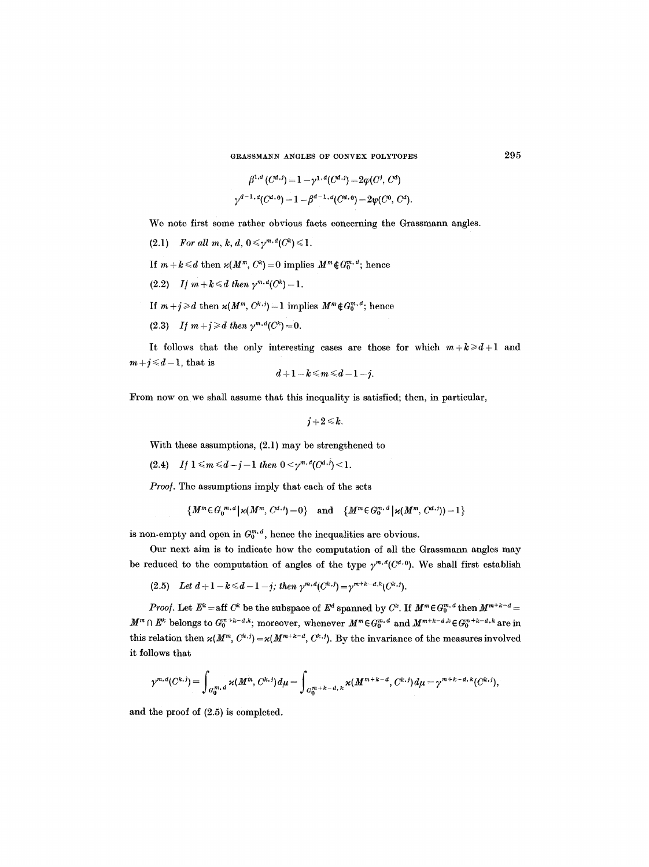GRASSMANN ANGLES OF CONVEX POLYTOPES 295

$$
\beta^{1,d} (C^{d,j}) = 1 - \gamma^{1,d} (C^{d,j}) = 2\varphi(C^j, C^d)
$$
  

$$
\gamma^{d-1,d} (C^{d,0}) = 1 - \beta^{d-1,d} (C^{d,0}) = 2\psi(C^0, C^d).
$$

We note first some rather obvious facts concerning the Grassmann angles.

- (2.1) *For all m, k, d,*  $0 \leq \gamma^{m,d}(C^k) \leq 1$ .
- If  $m + k \le d$  then  $\varkappa(M^m, C^k) = 0$  implies  $M^m \notin G_0^{m, d}$ ; hence
- (2.2) *If*  $m+k \leq d$  then  $\gamma^{m,d}(C^k)=1$ .
- If  $m + j \ge d$  then  $\varkappa(M^m, C^{k,j}) = 1$  implies  $M^m \notin G_0^{m,d}$ ; hence
- (2.3) *If*  $m + j \geq d$  then  $\gamma^{m,d}(C^k) = 0$ .

It follows that the only interesting cases are those for which  $m+k\geq d+1$  and  $m+j \leq d-1$ , that is

$$
d+1-k \leqslant m \leqslant d-1-j.
$$

From now on we shall assume that this inequality is satisfied; then, in particular,

$$
j+2\!\leqslant\!k.
$$

With these assumptions, (2.1) may be strengthened to

(2.4) If 
$$
1 \le m \le d-j-1
$$
 then  $0 < \gamma^{m,d}(C^{d,j}) < 1$ .

*Proo/.* The assumptions imply that each of the sets

$$
\{M^m \in G_0^{m,d} | \varkappa(M^m, C^{d,j}) = 0\} \text{ and } \{M^m \in G_0^{m,d} | \varkappa(M^m, C^{d,j}) = 1\}
$$

is non-empty and open in  $G_0^{m,d}$ , hence the inequalities are obvious.

Our next aim is to indicate how the computation of all the Grassmann angles may be reduced to the computation of angles of the type  $\gamma^{m,d}(C^{d,0})$ . We shall first establish

(2.5) *Let*  $d+1-k \leq d-1-j$ ; then  $\gamma^{m,d}(C^{k,j})=\gamma^{m+k-d,k}(C^{k,j}).$ 

*Proof.* Let  $E^k = \text{aff } C^k$  be the subspace of  $E^d$  spanned by  $C^k$ . If  $M^m \in G_0^{m,d}$  then  $M^{m+k-d} =$  $M^m \cap E^k$  belongs to  $G_0^{m+k-d,k}$ ; moreover, whenever  $M^m \in G_0^{m,d}$  and  $M^{m+k-d,k} \in G_0^{m+k-d,k}$  are in this relation then  $\varkappa(M^m, C^{k,j}) = \varkappa(M^{m+k-d}, C^{k,j})$ . By the invariance of the measures involved it follows that

$$
\gamma^{m,d}(C^{k,j}) = \int_{G_0^{m,d}} \varkappa(M^m,C^{k,j}) d\mu = \int_{G_0^{m+k-d,k}} \varkappa(M^{m+k-d},C^{k,j}) d\mu = \gamma^{m+k-d,k}(C^{k,j}),
$$

and the proof of (2.5) is completed.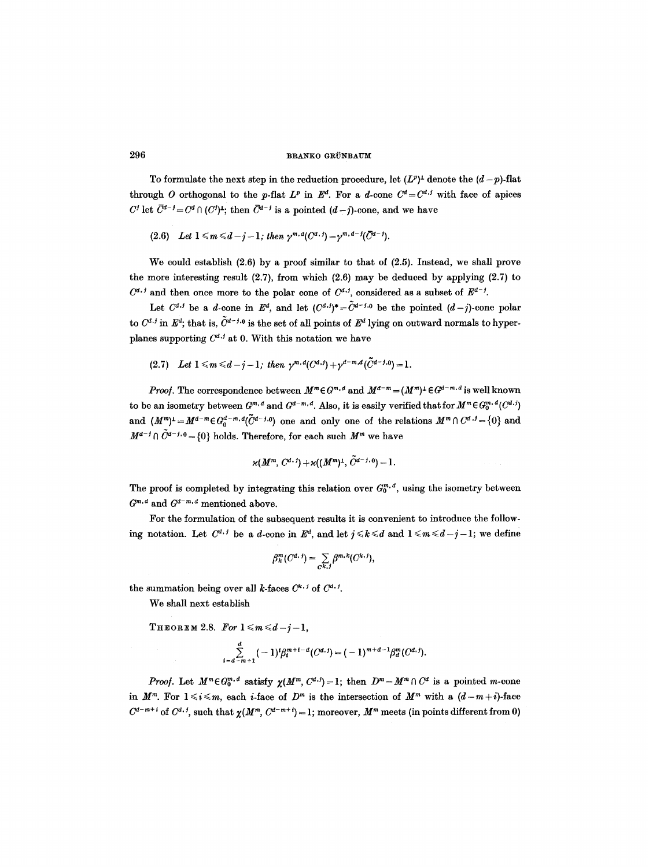To formulate the next step in the reduction procedure, let  $(L^p)^{\perp}$  denote the  $(d-p)$ -flat through O orthogonal to the p-flat  $L^p$  in  $E^d$ . For a d-cone  $C^d = C^{d,j}$  with face of apices  $C^j$  let  $\overline{C}^{d-j} = C^d \cap (C^j)^{\perp}$ ; then  $\overline{C}^{d-j}$  is a pointed  $(d-j)$ -cone, and we have

(2.6) *Let*  $1 \leq m \leq d-j-1$ ; then  $\gamma^{m,d}(C^{d,j}) = \gamma^{m,d-j}(\bar{C}^{d-j}).$ 

We could establish (2.6) by a proof similar to that of (2.5). Instead, we shall prove the more interesting result  $(2.7)$ , from which  $(2.6)$  may be deduced by applying  $(2.7)$  to  $C^{d,i}$  and then once more to the polar cone of  $C^{d,j}$ , considered as a subset of  $\mathbb{E}^{d-j}$ .

Let  $C^{d,j}$  be a d-cone in  $E^d$ , and let  $(C^{d,j})^* = \tilde{C}^{d-j,0}$  be the pointed  $(d-j)$ -cone polar to  $C^{d,j}$  in  $\mathbb{E}^d$ ; that is,  $\tilde{C}^{d-j,0}$  is the set of all points of  $\mathbb{E}^d$  lying on outward normals to hyperplanes supporting  $C^{d,j}$  at 0. With this notation we have

(2.7) Let  $1 \leq m \leq d-j-1$ ; then  $\gamma^{m,d}(C^{d,j})+\gamma^{d-m,d}(\tilde{C}^{d-j,0})=1$ .

*Proof.* The correspondence between  $M^m \in G^{m,d}$  and  $M^{d-m} = (M^m)^{\perp} \in G^{d-m,d}$  is well known to be an isometry between  $G^{m,d}$  and  $G^{d-m,d}$ . Also, it is easily verified that for  $M^m \in G_0^{m,d}(C^d.)$ and  $(M^m)^{\perp}=M^{d-m}\in G_0^{d-m,d}(\tilde{C}^{d-j,0})$  one and only one of the relations  $M^m\cap C^{d,j}=\{0\}$  and  $M^{d-j} \cap \tilde{C}^{d-j,0} = \{0\}$  holds. Therefore, for each such  $M^m$  we have

$$
\varkappa(M^m, C^{d, j}) + \varkappa((M^m)^{\perp}, \tilde{C}^{d-j, 0}) = 1.
$$

The proof is completed by integrating this relation over  $G_0^{m,d}$ , using the isometry between  $G^{m,d}$  and  $G^{d-m,d}$  mentioned above.

For the formulation of the subsequent results it is convenient to introduce the following notation. Let  $C^{d, j}$  be a *d*-cone in  $E^d$ , and let  $j \leq k \leq d$  and  $1 \leq m \leq d-j-1$ ; we define

$$
\beta_k^m(C^{d. j})=\sum_{C^{k,j}}\beta^{m,k}(C^{k,j}),
$$

the summation being over all k-faces  $C^{k, j}$  of  $C^{d, j}$ .

We shall next establish

THEOREM 2.8. For  $1 \leq m \leq d-j-1$ ,

$$
\sum_{i=d-m+1}^d (-1)^i \beta_i^{m+i-d} (C^{d,j}) = (-1)^{m+d-1} \beta_d^m (C^{d,j}).
$$

*Proof.* Let  $M^m \in G_0^{m,d}$  satisfy  $\chi(M^m, C^{d,j}) = 1$ ; then  $D^m = M^m \cap C^d$  is a pointed m-cone in  $M^m$ . For  $1 \le i \le m$ , each *i*-face of  $D^m$  is the intersection of  $M^m$  with a  $(d-m+i)$ -face  $C^{d-m+i}$  of  $C^{d,j}$ , such that  $\chi(M^m, C^{d-m+i}) = 1$ ; moreover,  $M^m$  meets (in points different from 0)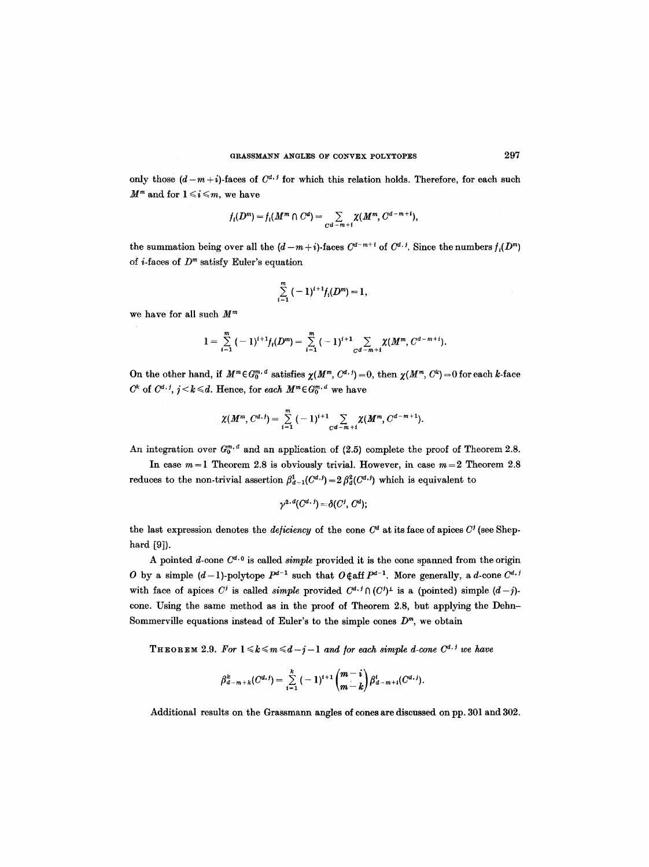only those  $(d-m+i)$ -faces of  $C^{d+j}$  for which this relation holds. Therefore, for each such  $M^m$  and for  $1 \leq i \leq m$ , we have

$$
f_i(D^m) = f_i(M^m \cap C^d) = \sum_{C^d - m + i} \chi(M^m, C^{d-m+i}),
$$

the summation being over all the  $(d-m+i)$ -faces  $C^{d-m+i}$  of  $C^{d,j}$ . Since the numbers  $f_i(D^m)$ of *i*-faces of  $D<sup>m</sup>$  satisfy Euler's equation

$$
\sum_{i=1}^m (-1)^{i+1} f_i(D^m) = 1,
$$

we have for all such  $M^m$ 

$$
1=\sum_{i=1}^m(-1)^{i+1}f_i(D^m)=\sum_{i=1}^m(-1)^{i+1}\sum_{Cd-m+i}\chi(M^m,C^{d-m+i}).
$$

On the other hand, if  $M^m \in G_0^{m,d}$  satisfies  $\chi(M^m, C^{d,j}) = 0$ , then  $\chi(M^m, C^k) = 0$  for each k-face  $C^k$  of  $C^{d, j}$ ,  $j < k \le d$ . Hence, for each  $M^m \in G_0^{m, d}$  we have

$$
\chi(M^m, C^{d,j}) = \sum_{i=1}^m (-1)^{i+1} \sum_{C^d-m+i} \chi(M^m, C^{d-m+1}).
$$

An integration over  $G_0^{m,d}$  and an application of (2.5) complete the proof of Theorem 2.8.

In case  $m = 1$  Theorem 2.8 is obviously trivial. However, in case  $m = 2$  Theorem 2.8 reduces to the non-trivial assertion  $\beta_{d-1}^1(C^{d,j}) = 2 \beta_d^2(C^{d,j})$  which is equivalent to

$$
\gamma^{2,d}(C^{d,\,j})=\delta(C^j,\,C^d);
$$

the last expression denotes the *deficiency* of the cone  $C^d$  at its face of apices  $C^j$  (see Shephard [9]).

A pointed d-cone  $C^{d,q}$  is called *simple* provided it is the cone spanned from the origin O by a simple  $(d-1)$ -polytope  $P^{d-1}$  such that  $O \notin \text{aff } P^{d-1}$ . More generally, a d-cone  $C^{d,j}$ with face of apices C<sup>*i*</sup> is called *simple* provided  $C^{d, f} \cap (C^j)^{\perp}$  is a (pointed) simple  $(d-j)$ cone. Using the same method as in the proof of Theorem 2.8, but applying the Dehn-Sommerville equations instead of Euler's to the simple cones  $D<sup>m</sup>$ , we obtain

**THEOREM** 2.9. For  $1 \leq k \leq m \leq d-j-1$  and for each simple d-cone  $C^{d,j}$  we have

$$
\beta_{d-m+k}^k(C^{d,j})=\sum_{i=1}^k (-1)^{i+1}\binom{m-i}{m-k}\beta_{d-m+i}^i(C^{d,j}).
$$

Additional results on the Grassmann angles of cones are discussed on pp. 301 and 302.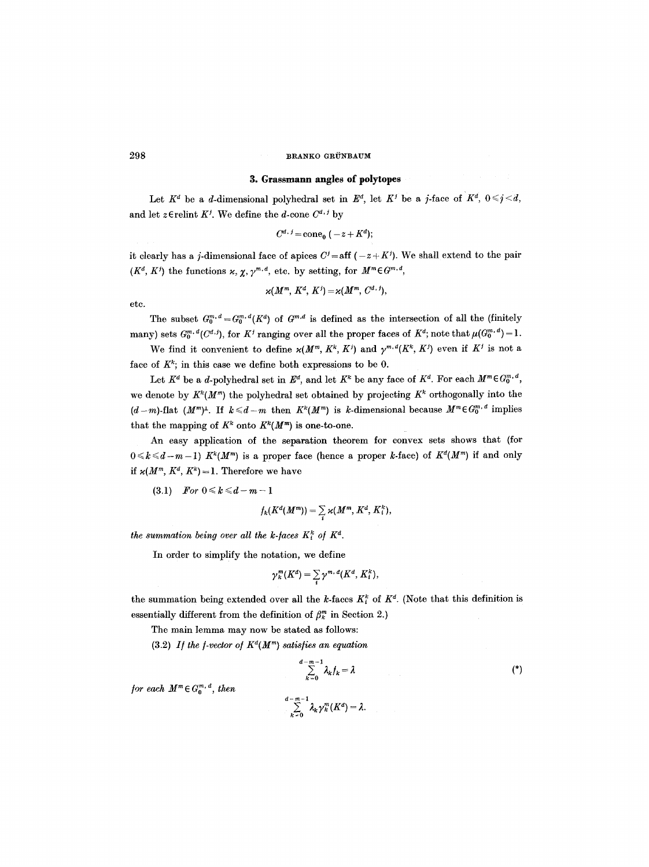## **3. Grassmann angles of polytopes**

Let  $K^d$  be a d-dimensional polyhedral set in  $E^d$ , let  $K^j$  be a j-face of  $K^d$ ,  $0 \leq j \leq d$ , and let z $\in$ relint  $K^j$ . We define the *d*-cone  $C^{d, j}$  by

$$
C^{d, j} = \text{cone}_0 (-z + K^d);
$$

it clearly has a j-dimensional face of apices  $C<sup>j</sup>=$  aff  $(-z + K<sup>j</sup>)$ . We shall extend to the pair  $(K^d, K^j)$  the functions  $x, \chi, \gamma^{m,d}$ , etc. by setting, for  $M^m \in G^{m,d}$ ,

$$
\varkappa(M^m, K^d, K^j) = \varkappa(M^m, C^{d, j}),
$$

etc.

The subset  $G_0^{m,d} = G_0^{m,d}(K^d)$  of  $G^{m,d}$  is defined as the intersection of all the (finitely many) sets  $G_0^{m,d}(C^{d,j})$ , for  $K^j$  ranging over all the proper faces of  $K^d$ ; note that  $\mu(G_0^{m,d}) = 1$ .

We find it convenient to define  $\varkappa(M^m, K^k, K^j)$  and  $\gamma^{m,d}(K^k, K^j)$  even if  $K^j$  is not a face of  $K^k$ ; in this case we define both expressions to be 0.

Let  $K^d$  be a *d*-polyhedral set in  $E^d$ , and let  $K^k$  be any face of  $K^d$ . For each  $M^m \in G_0^{m, d}$ , we denote by  $K^k(M^m)$  the polyhedral set obtained by projecting  $K^k$  orthogonally into the  $(d-m)$ -flat  $(M<sup>m</sup>)<sup>\perp</sup>$ . If  $k \le d-m$  then  $K<sup>k</sup>(M<sup>m</sup>)$  is k-dimensional because  $M<sup>m</sup> \in G<sub>0</sub><sup>m,d</sup>$  implies that the mapping of  $K^k$  onto  $K^k(M^m)$  is one-to-one.

An easy application of the separation theorem for convex sets shows that (for  $0 \le k \le d-m-1$ )  $K^{k}(M^{m})$  is a proper face (hence a proper k-face) of  $K^{d}(M^{m})$  if and only if  $\varkappa(M^m, K^d, K^k) = 1$ . Therefore we have

 $(3.1)$  *For*  $0 \le k \le d-m-1$ 

$$
f_k(K^d(M^m))=\sum_i \varkappa(M^m, K^d, K^k_i),
$$

*the summation being over all the k-faces*  $K_i^k$  of  $K^d$ .

In order to simplify the notation, we define

$$
\gamma_k^m(K^d) = \sum_i \gamma^{m, d}(K^d, K_i^k),
$$

the summation being extended over all the k-faces  $K_i^k$  of  $K^d$ . (Note that this definition is essentially different from the definition of  $\beta_k^m$  in Section 2.)

The main lemma may now be stated as follows:

 $(3.2)$  *If the f-vector of*  $K^d(M^m)$  *satisfies an equation* 

$$
\sum_{k=0}^{d-m-1} \lambda_k f_k = \lambda
$$
  

$$
\sum_{k=0}^{d-m-1} \lambda_k \gamma_k^m(K^d) = \lambda.
$$

*<i>for each*  $M^m \in G_0^{m,d}$ *, then*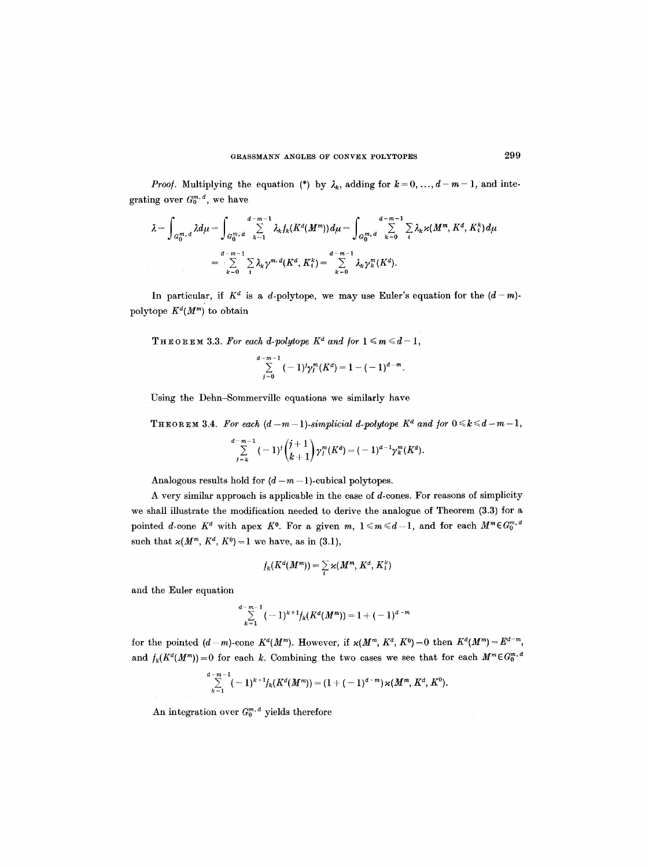*Proof.* Multiplying the equation (\*) by  $\lambda_k$ , adding for  $k = 0, ..., d-m-1$ , and integrating over  $G_0^{m,d}$ , we have

$$
\lambda = \int_{G_0^m, d} \lambda d\mu = \int_{G_0^m, d} \sum_{k=1}^{d-m-1} \lambda_k f_k(K^d(M^m)) d\mu = \int_{G_0^m, d} \sum_{k=0}^{d-m-1} \sum_i \lambda_k \varkappa(M^m, K^d, K_i^k) d\mu
$$

$$
= \sum_{k=0}^{d-m-1} \sum_i \lambda_k \gamma^{m, d}(K^d, K_i^k) = \sum_{k=0}^{d-m-1} \lambda_k \gamma_k^m(K^d).
$$

In particular, if  $K^d$  is a d-polytope, we may use Euler's equation for the  $(d-m)$ polytope  $K^d(M^m)$  to obtain

THEOREM 3.3. For each d-polytope  $K^d$  and for  $1 \leq m \leq d-1$ ,

$$
\sum_{j=0}^{d-m-1}(-1)^j\gamma_j^m(K^d)=1-(-1)^{d-m}.
$$

Using the Dehn-Sommerville equations we similarly have

**THEOREM 3.4.** For each  $(d-m-1)$ -simplicial d-polytope  $K^d$  and for  $0 \le k \le d-m-1$ ,

$$
\sum_{j=k}^{d-m-1} (-1)^j {j+1 \choose k+1} \gamma_j^m(K^d) = (-1)^{d-1} \gamma_k^m(K^d).
$$

Analogous results hold for  $(d-m-1)$ -cubical polytopes.

A very similar approach is applicable in the case of  $d$ -cones. For reasons of simplicity we shall illustrate the modification needed to derive the analogue of Theorem (3.3) for a pointed *d*-cone  $K^d$  with apex  $K^0$ . For a given  $m, 1 \leq m \leq d-1$ , and for each  $M^m \in G_0^{m,d}$ such that  $\varkappa(M^m, K^d, K^0) = 1$  we have, as in (3.1),

$$
f_k(K^d(M^m))=\sum_i \varkappa(M^m, K^d, K^k_i)
$$

and the Euler equation

$$
\sum_{k=1}^{d-m-1} (-1)^{k+1} f_k(K^d(M^m)) = 1 + (-1)^{d-m}
$$

for the pointed  $(d-m)$ -cone  $K^d(M^m)$ . However, if  $\varkappa(M^m, K^d, K^0) = 0$  then  $K^d(M^m) = E^{d-m}$ , and  $f_k(K^d(M^m)) = 0$  for each k. Combining the two cases we see that for each  $M^m \in G_0^{m,d}$ 

$$
\sum_{k=1}^{d-m-1}(-1)^{k+1}f_k(K^d(M^m))=(1+(-1)^{d-m})\,\varkappa(M^m,K^d,K^0).
$$

An integration over  $G_0^{m,d}$  yields therefore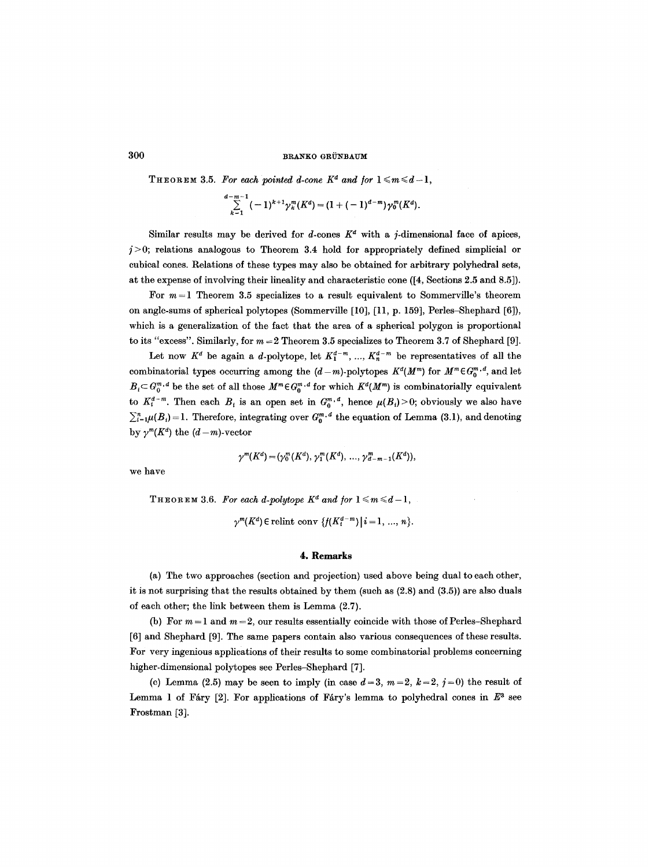THEOREM 3.5. For each pointed d-cone  $K^d$  and for  $1 \leq m \leq d-1$ ,

$$
\sum_{k=1}^{d-m-1}(-1)^{k+1}\gamma_k^m(K^d)=(1+(-1)^{d-m})\gamma_0^m(K^d).
$$

Similar results may be derived for d-cones  $K^d$  with a j-dimensional face of apices,  $j>0$ ; relations analogous to Theorem 3.4 hold for appropriately defined simplicial or cubical cones. Relations of these types may also be obtained for arbitrary polyhedral sets, at the expense of involving their lineality and characteristic cone ([4, Sections 2.5 and 8.5]).

For  $m = 1$  Theorem 3.5 specializes to a result equivalent to Sommerville's theorem on angle-sums of spherical polytopes (Sommerville [10], [11, p. 159], Perles-Shephard [6]), which is a generalization of the fact that the area of a spherical polygon is proportional to its "excess". Similarly, for  $m = 2$  Theorem 3.5 specializes to Theorem 3.7 of Shephard [9].

Let now  $K^d$  be again a d-polytope, let  $K_1^{d-m}$ , ...,  $K_n^{d-m}$  be representatives of all the combinatorial types occurring among the  $(d-m)$ -polytopes  $K^d(M^m)$  for  $M^m \in G_0^{m,d}$ , and let  $B<sub>i</sub> \subset G_0^{m,d}$  be the set of all those  $M^m \in G_0^{m,d}$  for which  $K^d(M^m)$  is combinatorially equivalent to  $K_i^{d-m}$ . Then each  $B_i$  is an open set in  $G_0^{m,d}$ , hence  $\mu(B_i)>0$ ; obviously we also have  $\sum_{i=1}^{n} \mu(B_i) = 1$ . Therefore, integrating over  $G_0^{m,d}$  the equation of Lemma (3.1), and denoting by  $\gamma^{m}(K^d)$  the  $(d-m)$ -vector

$$
\gamma^{m}(K^d)=(\gamma_0^{m}(K^d), \gamma_1^{m}(K^d), \ldots, \gamma_{d-m-1}^{m}(K^d)),
$$

we have

THEOREM 3.6. For each d-polytope  $K^d$  and for  $1 \leq m \leq d-1$ ,

 $\gamma^{m}(K^d)$   $\in$  relint conv  $\{f(K^{d-m}_i) \mid i = 1, ..., n\}.$ 

#### **4. Remarks**

(a) The two approaches (section and projection) used above being dual to each other, it is not surprising that the results obtained by them (such as (2.8) and (3.5)) are also duals of each other; the link between them is Lemma (2.7).

(b) For  $m=1$  and  $m=2$ , our results essentially coincide with those of Perles-Shephard [6] and Shephard [9]. The same papers contain also various consequences of these results. For very ingenious applications of their results to some combinatorial problems concerning higher-dimensional polytopes see Perles-Shephard [7].

(c) Lemma (2.5) may be seen to imply (in case  $d=3$ ,  $m=2$ ,  $k=2$ ,  $j=0$ ) the result of Lemma 1 of Fáry [2]. For applications of Fáry's lemma to polyhedral cones in  $E^3$  see Frostman [3].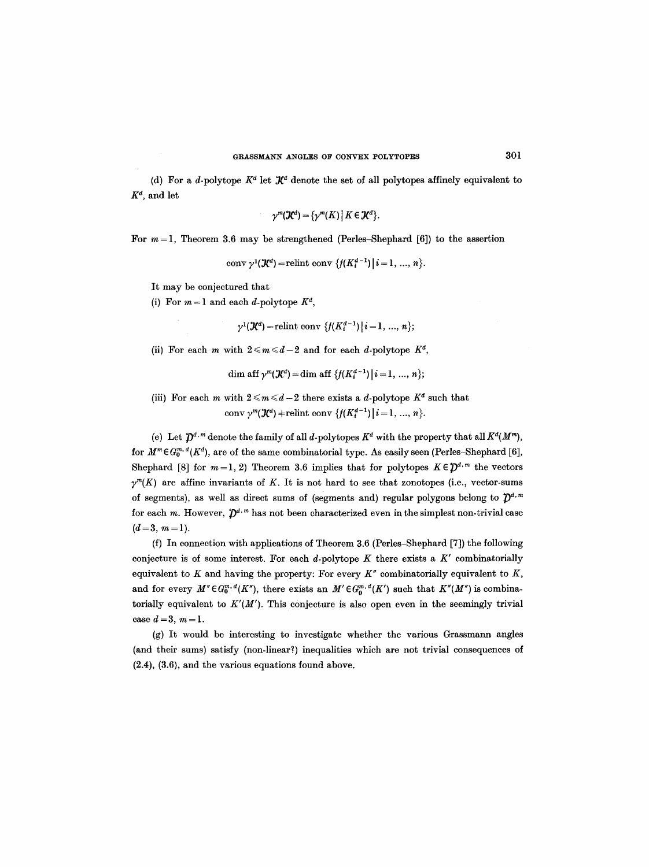(d) For a *d*-polytope  $K^d$  let  $\mathcal{K}^d$  denote the set of all polytopes affinely equivalent to  $K^d$ , and let

$$
\gamma^m(\mathcal{K}^d)=\{\gamma^m(K)\,|\,K\in\mathcal{K}^d\}.
$$

For  $m = 1$ , Theorem 3.6 may be strengthened (Perles-Shephard [6]) to the assertion

conv  $\gamma^1(\mathcal{K}^d)$  = relint conv  $\{f(K_i^{d-1}) \mid i = 1, ..., n\}.$ 

It may be conjectured that

(i) For  $m=1$  and each d-polytope  $K^d$ ,

$$
\gamma^{1}(\mathcal{K}^{d})
$$
 = relint conv { $f(K_{i}^{d-1}) | i = 1, ..., n$ };

(ii) For each m with  $2 \le m \le d-2$  and for each d-polytope  $K^d$ ,

dim aff  $\gamma^{m}(\mathcal{K}^{d}) = \dim \text{aff } \{f(K_{i}^{d-1}) | i = 1, ..., n\};$ 

(iii) For each m with  $2 \le m \le d-2$  there exists a d-polytope  $K^d$  such that conv  $\gamma^{m}(\mathcal{K}^{d})$  + relint conv  $\{f(K_{i}^{d-1})|i=1, ..., n\}.$ 

(e) Let  $\mathcal{D}^{d,m}$  denote the family of all d-polytopes  $K^d$  with the property that all  $K^d(M^m)$ , for  $M^m \in \mathcal{G}_0^{m,d}(K^d)$ , are of the same combinatorial type. As easily seen (Perles-Shephard [6], Shephard [8] for  $m=1, 2$ ) Theorem 3.6 implies that for polytopes  $K \in \mathcal{D}^{d,m}$  the vectors  $\gamma^{m}(K)$  are affine invariants of K. It is not hard to see that zonotopes (i.e., vector-sums of segments), as well as direct sums of (segments and) regular polygons belong to  $\mathcal{D}^{d,m}$ for each m. However,  $\mathcal{D}^{d,m}$  has not been characterized even in the simplest non-trivial case  $(d=3, m=1).$ 

(f) In connection with applications of Theorem 3.6 (Perles-Shephard [7]) the following conjecture is of some interest. For each  $d$ -polytope K there exists a  $K'$  combinatorially equivalent to K and having the property: For every  $K''$  combinatorially equivalent to K, and for every  $M'' \in G_0^{m,d}(K'')$ , there exists an  $M' \in G_0^{m,d}(K')$  such that  $K''(M'')$  is combinatorially equivalent to  $K'(M')$ . This conjecture is also open even in the seemingly trivial case  $d = 3, m = 1.$ 

(g) It would be interesting to investigate whether the various Grassmann angles (and their sums) satisfy (non-linear?) inequalities which are not trivial consequences of (2.4), (3.6), and the various equations found above.